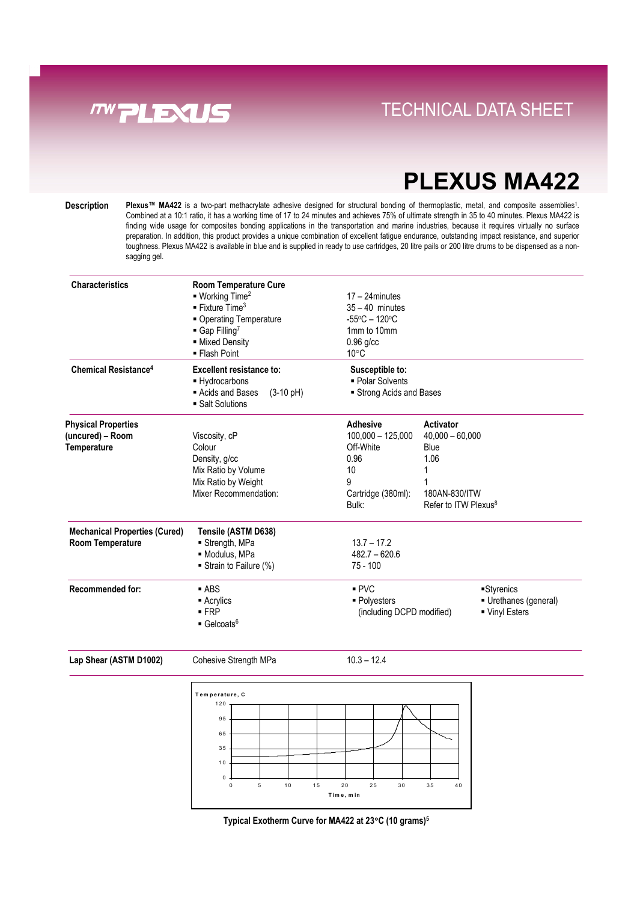

### **Direct Links Convenience With Tray System** TECHNICAL DATA SHEET

# **PLEXUS MA422**

**Description** Plexus<sup>™</sup> MA422 is a two-part methacrylate adhesive designed for structural bonding of thermoplastic, metal, and composite assemblies<sup>1</sup>. Combined at a 10:1 ratio, it has a working time of 17 to 24 minutes and achieves 75% of ultimate strength in 35 to 40 minutes. Plexus MA422 is finding wide usage for composites bonding applications in the transportation and marine industries, because it requires virtually no surface preparation. In addition, this product provides a unique combination of excellent fatigue endurance, outstanding impact resistance, and superior toughness. Plexus MA422 is available in blue and is supplied in ready to use cartridges, 20 litre pails or 200 litre drums to be dispensed as a nonsagging gel.

| <b>Characteristics</b>                 | <b>Room Temperature Cure</b><br>$\blacksquare$ Working Time <sup>2</sup><br>$\blacksquare$ Fixture Time <sup>3</sup><br>• Operating Temperature<br>$\blacksquare$ Gap Filling <sup>7</sup><br>- Mixed Density<br>■ Flash Point | $17 - 24$ minutes<br>$35 - 40$ minutes<br>$-55^{\circ}$ C - 120 $^{\circ}$ C<br>1mm to 10mm<br>$0.96$ g/cc<br>$10^{\circ}$ C |                                                   |           |
|----------------------------------------|--------------------------------------------------------------------------------------------------------------------------------------------------------------------------------------------------------------------------------|------------------------------------------------------------------------------------------------------------------------------|---------------------------------------------------|-----------|
| <b>Chemical Resistance<sup>4</sup></b> | Excellent resistance to:<br>- Hydrocarbons<br>Acids and Bases<br>$(3-10 \text{ pH})$<br>■ Salt Solutions                                                                                                                       | Susceptible to:<br>• Polar Solvents<br>Strong Acids and Bases                                                                |                                                   |           |
| <b>Physical Properties</b>             |                                                                                                                                                                                                                                | <b>Adhesive</b>                                                                                                              | Activator                                         |           |
| (uncured) - Room                       | Viscosity, cP                                                                                                                                                                                                                  | $100,000 - 125,000$                                                                                                          | $40,000 - 60,000$                                 |           |
| Temperature                            | Colour                                                                                                                                                                                                                         | Off-White                                                                                                                    | Blue                                              |           |
|                                        | Density, g/cc                                                                                                                                                                                                                  | 0.96                                                                                                                         | 1.06                                              |           |
|                                        | Mix Ratio by Volume                                                                                                                                                                                                            | 10                                                                                                                           | 1                                                 |           |
|                                        | Mix Ratio by Weight                                                                                                                                                                                                            | 9                                                                                                                            |                                                   |           |
|                                        | Mixer Recommendation:                                                                                                                                                                                                          | Cartridge (380ml):<br>Bulk:                                                                                                  | 180AN-830/ITW<br>Refer to ITW Plexus <sup>8</sup> |           |
| <b>Mechanical Properties (Cured)</b>   | Tensile (ASTM D638)                                                                                                                                                                                                            |                                                                                                                              |                                                   |           |
| <b>Room Temperature</b>                | Strength, MPa                                                                                                                                                                                                                  | $13.7 - 17.2$                                                                                                                |                                                   |           |
|                                        | · Modulus, MPa                                                                                                                                                                                                                 | $482.7 - 620.6$                                                                                                              |                                                   |           |
|                                        | Strain to Failure (%)                                                                                                                                                                                                          | $75 - 100$                                                                                                                   |                                                   |           |
| <b>Recommended for:</b>                | $-$ ABS                                                                                                                                                                                                                        | PVC                                                                                                                          |                                                   | Styrenics |
|                                        | $\blacksquare$ Acrylics                                                                                                                                                                                                        | Urethanes (general)<br>• Polyesters<br>■ Vinyl Esters<br>(including DCPD modified)                                           |                                                   |           |
|                                        | $-$ FRP                                                                                                                                                                                                                        |                                                                                                                              |                                                   |           |
|                                        | $\blacksquare$ Gelcoats <sup>6</sup>                                                                                                                                                                                           |                                                                                                                              |                                                   |           |

Lap Shear (ASTM D1002) Cohesive Strength MPa 10.3 - 12.4



**Typical Exotherm Curve for MA422 at 23**°**C (10 grams)5**